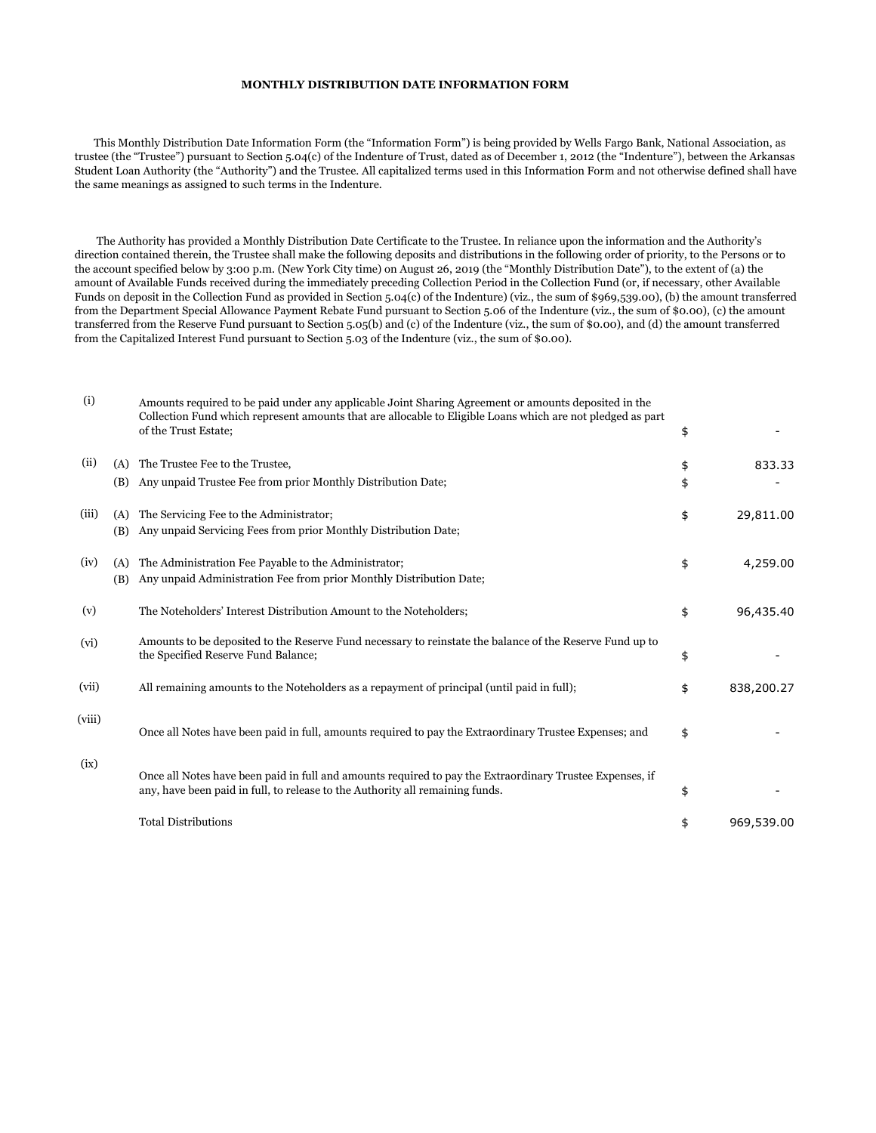## **MONTHLY DISTRIBUTION DATE INFORMATION FORM**

 This Monthly Distribution Date Information Form (the "Information Form") is being provided by Wells Fargo Bank, National Association, as trustee (the "Trustee") pursuant to Section 5.04(c) of the Indenture of Trust, dated as of December 1, 2012 (the "Indenture"), between the Arkansas Student Loan Authority (the "Authority") and the Trustee. All capitalized terms used in this Information Form and not otherwise defined shall have the same meanings as assigned to such terms in the Indenture.

 The Authority has provided a Monthly Distribution Date Certificate to the Trustee. In reliance upon the information and the Authority's direction contained therein, the Trustee shall make the following deposits and distributions in the following order of priority, to the Persons or to the account specified below by 3:00 p.m. (New York City time) on August 26, 2019 (the "Monthly Distribution Date"), to the extent of (a) the amount of Available Funds received during the immediately preceding Collection Period in the Collection Fund (or, if necessary, other Available Funds on deposit in the Collection Fund as provided in Section 5.04(c) of the Indenture) (viz., the sum of \$969,539.00), (b) the amount transferred from the Department Special Allowance Payment Rebate Fund pursuant to Section 5.06 of the Indenture (viz., the sum of \$0.00), (c) the amount transferred from the Reserve Fund pursuant to Section 5.05(b) and (c) of the Indenture (viz., the sum of \$0.00), and (d) the amount transferred from the Capitalized Interest Fund pursuant to Section 5.03 of the Indenture (viz., the sum of \$0.00).

| (i)    |            | Amounts required to be paid under any applicable Joint Sharing Agreement or amounts deposited in the<br>Collection Fund which represent amounts that are allocable to Eligible Loans which are not pledged as part<br>of the Trust Estate; | \$       |            |
|--------|------------|--------------------------------------------------------------------------------------------------------------------------------------------------------------------------------------------------------------------------------------------|----------|------------|
| (ii)   | (A)<br>(B) | The Trustee Fee to the Trustee,<br>Any unpaid Trustee Fee from prior Monthly Distribution Date;                                                                                                                                            | \$<br>\$ | 833.33     |
| (iii)  | (A)<br>(B) | The Servicing Fee to the Administrator;<br>Any unpaid Servicing Fees from prior Monthly Distribution Date;                                                                                                                                 | \$       | 29,811.00  |
| (iv)   | (A)<br>(B) | The Administration Fee Payable to the Administrator;<br>Any unpaid Administration Fee from prior Monthly Distribution Date;                                                                                                                | \$       | 4,259.00   |
| (v)    |            | The Noteholders' Interest Distribution Amount to the Noteholders;                                                                                                                                                                          | \$       | 96,435.40  |
| (vi)   |            | Amounts to be deposited to the Reserve Fund necessary to reinstate the balance of the Reserve Fund up to<br>the Specified Reserve Fund Balance;                                                                                            | \$       |            |
| (vii)  |            | All remaining amounts to the Noteholders as a repayment of principal (until paid in full);                                                                                                                                                 | \$       | 838,200.27 |
| (viii) |            | Once all Notes have been paid in full, amounts required to pay the Extraordinary Trustee Expenses; and                                                                                                                                     | \$       |            |
| (ix)   |            | Once all Notes have been paid in full and amounts required to pay the Extraordinary Trustee Expenses, if<br>any, have been paid in full, to release to the Authority all remaining funds.                                                  | \$       |            |
|        |            | <b>Total Distributions</b>                                                                                                                                                                                                                 | \$       | 969,539.00 |